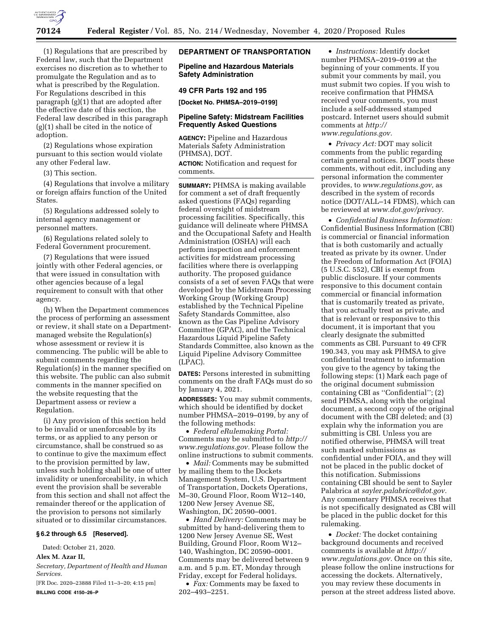

(1) Regulations that are prescribed by Federal law, such that the Department exercises no discretion as to whether to promulgate the Regulation and as to what is prescribed by the Regulation. For Regulations described in this paragraph (g)(1) that are adopted after the effective date of this section, the Federal law described in this paragraph (g)(1) shall be cited in the notice of adoption.

(2) Regulations whose expiration pursuant to this section would violate any other Federal law.

(3) This section.

(4) Regulations that involve a military or foreign affairs function of the United States.

(5) Regulations addressed solely to internal agency management or personnel matters.

(6) Regulations related solely to Federal Government procurement.

(7) Regulations that were issued jointly with other Federal agencies, or that were issued in consultation with other agencies because of a legal requirement to consult with that other agency.

(h) When the Department commences the process of performing an assessment or review, it shall state on a Departmentmanaged website the Regulation(s) whose assessment or review it is commencing. The public will be able to submit comments regarding the Regulation(s) in the manner specified on this website. The public can also submit comments in the manner specified on the website requesting that the Department assess or review a Regulation.

(i) Any provision of this section held to be invalid or unenforceable by its terms, or as applied to any person or circumstance, shall be construed so as to continue to give the maximum effect to the provision permitted by law, unless such holding shall be one of utter invalidity or unenforceability, in which event the provision shall be severable from this section and shall not affect the remainder thereof or the application of the provision to persons not similarly situated or to dissimilar circumstances.

#### **§ 6.2 through 6.5 [Reserved].**

Dated: October 21, 2020.

# **Alex M. Azar II,**

*Secretary, Department of Health and Human Services.* 

[FR Doc. 2020–23888 Filed 11–3–20; 4:15 pm] **BILLING CODE 4150–26–P** 

## **DEPARTMENT OF TRANSPORTATION**

**Pipeline and Hazardous Materials Safety Administration** 

### **49 CFR Parts 192 and 195**

**[Docket No. PHMSA–2019–0199]** 

### **Pipeline Safety: Midstream Facilities Frequently Asked Questions**

**AGENCY:** Pipeline and Hazardous Materials Safety Administration (PHMSA), DOT.

**ACTION:** Notification and request for comments.

**SUMMARY:** PHMSA is making available for comment a set of draft frequently asked questions (FAQs) regarding federal oversight of midstream processing facilities. Specifically, this guidance will delineate where PHMSA and the Occupational Safety and Health Administration (OSHA) will each perform inspection and enforcement activities for midstream processing facilities where there is overlapping authority. The proposed guidance consists of a set of seven FAQs that were developed by the Midstream Processing Working Group (Working Group) established by the Technical Pipeline Safety Standards Committee, also known as the Gas Pipeline Advisory Committee (GPAC), and the Technical Hazardous Liquid Pipeline Safety Standards Committee, also known as the Liquid Pipeline Advisory Committee (LPAC).

**DATES:** Persons interested in submitting comments on the draft FAQs must do so by January 4, 2021.

**ADDRESSES:** You may submit comments, which should be identified by docket number PHMSA–2019–0199, by any of the following methods:

• *Federal eRulemaking Portal:*  Comments may be submitted to *[http://](http://www.regulations.gov) [www.regulations.gov.](http://www.regulations.gov)* Please follow the online instructions to submit comments.

• *Mail:* Comments may be submitted by mailing them to the Dockets Management System, U.S. Department of Transportation, Dockets Operations, M–30, Ground Floor, Room W12–140, 1200 New Jersey Avenue SE, Washington, DC 20590–0001.

• *Hand Delivery:* Comments may be submitted by hand-delivering them to 1200 New Jersey Avenue SE, West Building, Ground Floor, Room W12– 140, Washington, DC 20590–0001. Comments may be delivered between 9 a.m. and 5 p.m. ET, Monday through Friday, except for Federal holidays.

• *Fax:* Comments may be faxed to 202–493–2251.

• *Instructions:* Identify docket number PHMSA–2019–0199 at the beginning of your comments. If you submit your comments by mail, you must submit two copies. If you wish to receive confirmation that PHMSA received your comments, you must include a self-addressed stamped postcard. Internet users should submit comments at *[http://](http://www.regulations.gov) [www.regulations.gov.](http://www.regulations.gov)* 

• *Privacy Act:* DOT may solicit comments from the public regarding certain general notices. DOT posts these comments, without edit, including any personal information the commenter provides, to *[www.regulations.gov,](http://www.regulations.gov)* as described in the system of records notice (DOT/ALL–14 FDMS), which can be reviewed at *[www.dot.gov/privacy.](http://www.dot.gov/privacy)* 

• *Confidential Business Information:*  Confidential Business Information (CBI) is commercial or financial information that is both customarily and actually treated as private by its owner. Under the Freedom of Information Act (FOIA) (5 U.S.C. 552), CBI is exempt from public disclosure. If your comments responsive to this document contain commercial or financial information that is customarily treated as private, that you actually treat as private, and that is relevant or responsive to this document, it is important that you clearly designate the submitted comments as CBI. Pursuant to 49 CFR 190.343, you may ask PHMSA to give confidential treatment to information you give to the agency by taking the following steps: (1) Mark each page of the original document submission containing CBI as ''Confidential''; (2) send PHMSA, along with the original document, a second copy of the original document with the CBI deleted; and (3) explain why the information you are submitting is CBI. Unless you are notified otherwise, PHMSA will treat such marked submissions as confidential under FOIA, and they will not be placed in the public docket of this notification. Submissions containing CBI should be sent to Sayler Palabrica at *[sayler.palabrica@dot.gov.](mailto:sayler.palabrica@dot.gov)*  Any commentary PHMSA receives that is not specifically designated as CBI will be placed in the public docket for this rulemaking.

• *Docket:* The docket containing background documents and received comments is available at *[http://](http://www.regulations.gov) [www.regulations.gov.](http://www.regulations.gov)* Once on this site, please follow the online instructions for accessing the dockets. Alternatively, you may review these documents in person at the street address listed above.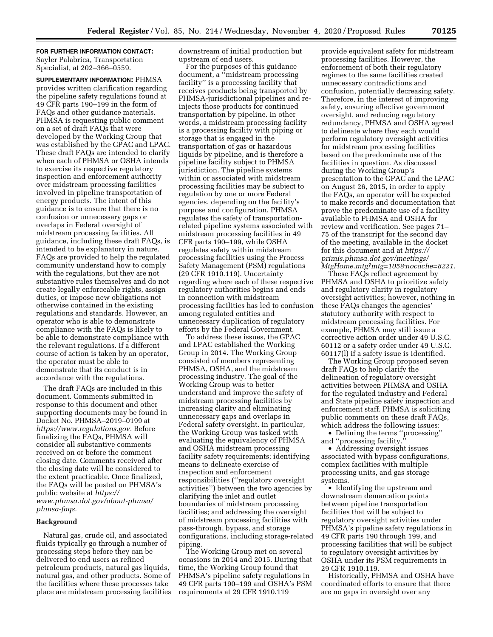**FOR FURTHER INFORMATION CONTACT:**  Sayler Palabrica, Transportation Specialist, at 202–366–0559.

**SUPPLEMENTARY INFORMATION:** PHMSA provides written clarification regarding the pipeline safety regulations found at 49 CFR parts 190–199 in the form of FAQs and other guidance materials. PHMSA is requesting public comment on a set of draft FAQs that were developed by the Working Group that was established by the GPAC and LPAC. These draft FAQs are intended to clarify when each of PHMSA or OSHA intends to exercise its respective regulatory inspection and enforcement authority over midstream processing facilities involved in pipeline transportation of energy products. The intent of this guidance is to ensure that there is no confusion or unnecessary gaps or overlaps in Federal oversight of midstream processing facilities. All guidance, including these draft FAQs, is intended to be explanatory in nature. FAQs are provided to help the regulated community understand how to comply with the regulations, but they are not substantive rules themselves and do not create legally enforceable rights, assign duties, or impose new obligations not otherwise contained in the existing regulations and standards. However, an operator who is able to demonstrate compliance with the FAQs is likely to be able to demonstrate compliance with the relevant regulations. If a different course of action is taken by an operator, the operator must be able to demonstrate that its conduct is in accordance with the regulations.

The draft FAQs are included in this document. Comments submitted in response to this document and other supporting documents may be found in Docket No. PHMSA–2019–0199 at *[https://www.regulations.gov.](https://www.regulations.gov)* Before finalizing the FAQs, PHMSA will consider all substantive comments received on or before the comment closing date. Comments received after the closing date will be considered to the extent practicable. Once finalized, the FAQs will be posted on PHMSA's public website at *[https://](https://www.phmsa.dot.gov/about-phmsa/phmsa-faqs) [www.phmsa.dot.gov/about-phmsa/](https://www.phmsa.dot.gov/about-phmsa/phmsa-faqs) [phmsa-faqs.](https://www.phmsa.dot.gov/about-phmsa/phmsa-faqs)* 

#### **Background**

Natural gas, crude oil, and associated fluids typically go through a number of processing steps before they can be delivered to end users as refined petroleum products, natural gas liquids, natural gas, and other products. Some of the facilities where these processes take place are midstream processing facilities downstream of initial production but upstream of end users.

For the purposes of this guidance document, a ''midstream processing facility'' is a processing facility that receives products being transported by PHMSA-jurisdictional pipelines and reinjects those products for continued transportation by pipeline. In other words, a midstream processing facility is a processing facility with piping or storage that is engaged in the transportation of gas or hazardous liquids by pipeline, and is therefore a pipeline facility subject to PHMSA jurisdiction. The pipeline systems within or associated with midstream processing facilities may be subject to regulation by one or more Federal agencies, depending on the facility's purpose and configuration. PHMSA regulates the safety of transportationrelated pipeline systems associated with midstream processing facilities in 49 CFR parts 190–199, while OSHA regulates safety within midstream processing facilities using the Process Safety Management (PSM) regulations (29 CFR 1910.119). Uncertainty regarding where each of these respective regulatory authorities begins and ends in connection with midstream processing facilities has led to confusion among regulated entities and unnecessary duplication of regulatory efforts by the Federal Government.

To address these issues, the GPAC and LPAC established the Working Group in 2014. The Working Group consisted of members representing PHMSA, OSHA, and the midstream processing industry. The goal of the Working Group was to better understand and improve the safety of midstream processing facilities by increasing clarity and eliminating unnecessary gaps and overlaps in Federal safety oversight. In particular, the Working Group was tasked with evaluating the equivalency of PHMSA and OSHA midstream processing facility safety requirements; identifying means to delineate exercise of inspection and enforcement responsibilities (''regulatory oversight activities'') between the two agencies by clarifying the inlet and outlet boundaries of midstream processing facilities; and addressing the oversight of midstream processing facilities with pass-through, bypass, and storage configurations, including storage-related piping.

The Working Group met on several occasions in 2014 and 2015. During that time, the Working Group found that PHMSA's pipeline safety regulations in 49 CFR parts 190–199 and OSHA's PSM requirements at 29 CFR 1910.119

provide equivalent safety for midstream processing facilities. However, the enforcement of both their regulatory regimes to the same facilities created unnecessary contradictions and confusion, potentially decreasing safety. Therefore, in the interest of improving safety, ensuring effective government oversight, and reducing regulatory redundancy, PHMSA and OSHA agreed to delineate where they each would perform regulatory oversight activities for midstream processing facilities based on the predominate use of the facilities in question. As discussed during the Working Group's presentation to the GPAC and the LPAC on August 26, 2015, in order to apply the FAQs, an operator will be expected to make records and documentation that prove the predominate use of a facility available to PHMSA and OSHA for review and verification. See pages 71– 75 of the transcript for the second day of the meeting, available in the docket for this document and at *[https://](https://primis.phmsa.dot.gov/meetings/MtgHome.mtg?mtg=105&nocache=8221) [primis.phmsa.dot.gov/meetings/](https://primis.phmsa.dot.gov/meetings/MtgHome.mtg?mtg=105&nocache=8221)  [MtgHome.mtg?mtg=105&nocache=8221.](https://primis.phmsa.dot.gov/meetings/MtgHome.mtg?mtg=105&nocache=8221)* 

These FAQs reflect agreement by PHMSA and OSHA to prioritize safety and regulatory clarity in regulatory oversight activities; however, nothing in these FAQs changes the agencies' statutory authority with respect to midstream processing facilities. For example, PHMSA may still issue a corrective action order under 49 U.S.C. 60112 or a safety order under 49 U.S.C. 60117(l) if a safety issue is identified.

The Working Group proposed seven draft FAQs to help clarify the delineation of regulatory oversight activities between PHMSA and OSHA for the regulated industry and Federal and State pipeline safety inspection and enforcement staff. PHMSA is soliciting public comments on these draft FAQs, which address the following issues:

• Defining the terms ''processing'' and "processing facility.

• Addressing oversight issues associated with bypass configurations, complex facilities with multiple processing units, and gas storage systems.

• Identifying the upstream and downstream demarcation points between pipeline transportation facilities that will be subject to regulatory oversight activities under PHMSA's pipeline safety regulations in 49 CFR parts 190 through 199, and processing facilities that will be subject to regulatory oversight activities by OSHA under its PSM requirements in 29 CFR 1910.119.

Historically, PHMSA and OSHA have coordinated efforts to ensure that there are no gaps in oversight over any